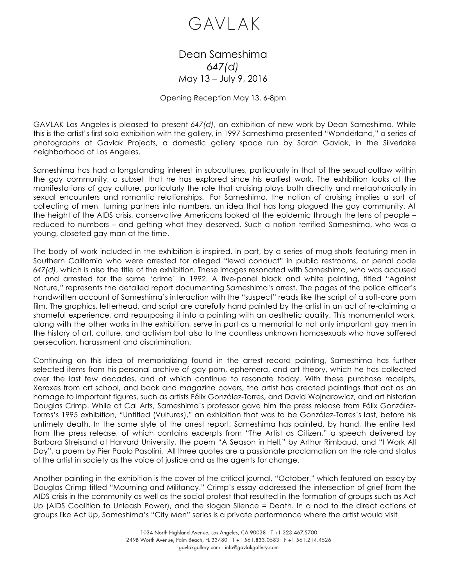## GAVLAK

## Dean Sameshima *647(d)* May 13 – July 9, 2016

## Opening Reception May 13, 6-8pm

GAVLAK Los Angeles is pleased to present *647(d)*, an exhibition of new work by Dean Sameshima. While this is the artist's first solo exhibition with the gallery, in 1997 Sameshima presented "Wonderland," a series of photographs at Gavlak Projects, a domestic gallery space run by Sarah Gavlak, in the Silverlake neighborhood of Los Angeles.

Sameshima has had a longstanding interest in subcultures, particularly in that of the sexual outlaw within the gay community, a subset that he has explored since his earliest work. The exhibition looks at the manifestations of gay culture, particularly the role that cruising plays both directly and metaphorically in sexual encounters and romantic relationships. For Sameshima, the notion of cruising implies a sort of collecting of men, turning partners into numbers, an idea that has long plagued the gay community. At the height of the AIDS crisis, conservative Americans looked at the epidemic through the lens of people – reduced to numbers – and getting what they deserved. Such a notion terrified Sameshima, who was a young, closeted gay man at the time.

The body of work included in the exhibition is inspired, in part, by a series of mug shots featuring men in Southern California who were arrested for alleged "lewd conduct" in public restrooms, or penal code *647(d)*, which is also the title of the exhibition. These images resonated with Sameshima, who was accused of and arrested for the same 'crime' in 1992. A five-panel black and white painting, titled "Against Nature," represents the detailed report documenting Sameshima's arrest. The pages of the police officer's handwritten account of Sameshima's interaction with the "suspect" reads like the script of a soft-core porn film. The graphics, letterhead, and script are carefully hand painted by the artist in an act of re-claiming a shameful experience, and repurposing it into a painting with an aesthetic quality. This monumental work, along with the other works in the exhibition, serve in part as a memorial to not only important gay men in the history of art, culture, and activism but also to the countless unknown homosexuals who have suffered persecution, harassment and discrimination.

Continuing on this idea of memorializing found in the arrest record painting, Sameshima has further selected items from his personal archive of gay porn, ephemera, and art theory, which he has collected over the last few decades, and of which continue to resonate today. With these purchase receipts, Xeroxes from art school, and book and magazine covers, the artist has created paintings that act as an homage to important figures, such as artists Félix González-Torres, and David Wojnarowicz, and art historian Douglas Crimp. While at Cal Arts, Sameshima's professor gave him the press release from Félix González-Torres's 1995 exhibition, "Untitled (Vultures)," an exhibition that was to be González-Torres's last, before his untimely death. In the same style of the arrest report, Sameshima has painted, by hand, the entire text from the press release, of which contains excerpts from "The Artist as Citizen," a speech delivered by Barbara Streisand at Harvard University, the poem "A Season in Hell," by Arthur Rimbaud, and "I Work All Day", a poem by Pier Paolo Pasolini. All three quotes are a passionate proclamation on the role and status of the artist in society as the voice of justice and as the agents for change.

Another painting in the exhibition is the cover of the critical journal, "October," which featured an essay by Douglas Crimp titled "Mourning and Militancy." Crimp's essay addressed the intersection of grief from the AIDS crisis in the community as well as the social protest that resulted in the formation of groups such as Act Up (AIDS Coalition to Unleash Power), and the slogan Silence = Death. In a nod to the direct actions of groups like Act Up, Sameshima's "City Men" series is a private performance where the artist would visit